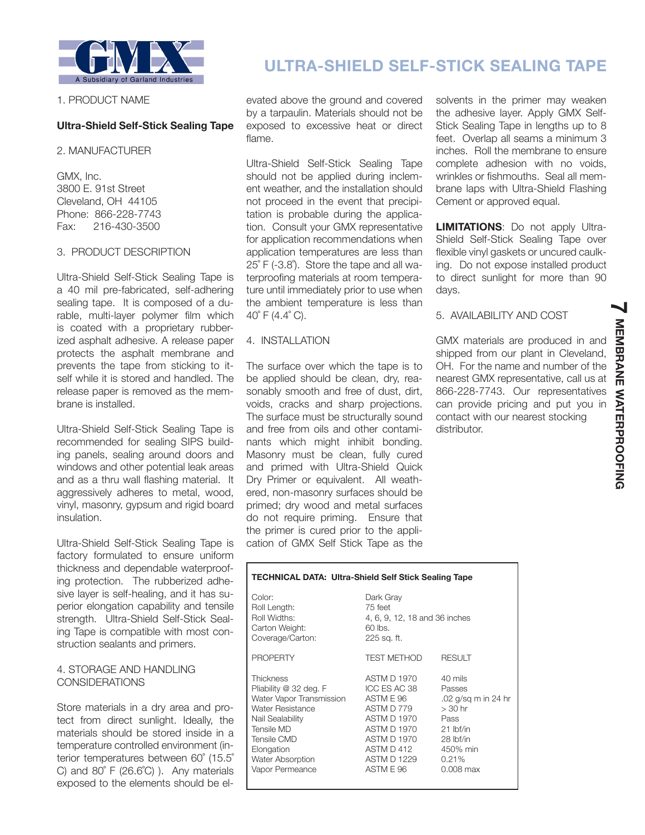

## 1. PRODUCT NAME

# **Ultra-Shield Self-Stick Sealing Tape**

#### 2. MANUFACTURER

GMX, Inc. 3800 E. 91st Street Cleveland, OH 44105 Phone: 866-228-7743 Fax: 216-430-3500

## 3. PRODUCT DESCRIPTION

Ultra-Shield Self-Stick Sealing Tape is a 40 mil pre-fabricated, self-adhering sealing tape. It is composed of a durable, multi-layer polymer film which is coated with a proprietary rubberized asphalt adhesive. A release paper protects the asphalt membrane and prevents the tape from sticking to itself while it is stored and handled. The release paper is removed as the membrane is installed.

Ultra-Shield Self-Stick Sealing Tape is recommended for sealing SIPS building panels, sealing around doors and windows and other potential leak areas and as a thru wall flashing material. It aggressively adheres to metal, wood, vinyl, masonry, gypsum and rigid board insulation.

Ultra-Shield Self-Stick Sealing Tape is factory formulated to ensure uniform thickness and dependable waterproofing protection. The rubberized adhesive layer is self-healing, and it has superior elongation capability and tensile strength. Ultra-Shield Self-Stick Sealing Tape is compatible with most construction sealants and primers.

## 4. STORAGE AND HANDLING CONSIDERATIONS

Store materials in a dry area and protect from direct sunlight. Ideally, the materials should be stored inside in a temperature controlled environment (interior temperatures between 60˚ (15.5˚ C) and 80˚ F (26.6˚C) ). Any materials exposed to the elements should be el-

# **ULTRA-SHIELD SELF-STICK SEALING TAPE**

evated above the ground and covered by a tarpaulin. Materials should not be exposed to excessive heat or direct flame.

Ultra-Shield Self-Stick Sealing Tape should not be applied during inclement weather, and the installation should not proceed in the event that precipitation is probable during the application. Consult your GMX representative for application recommendations when application temperatures are less than 25˚ F (-3.8˚). Store the tape and all waterproofing materials at room temperature until immediately prior to use when the ambient temperature is less than  $40^{\circ}$  F (4.4 $^{\circ}$  C).

## 4. INSTALLATION

The surface over which the tape is to be applied should be clean, dry, reasonably smooth and free of dust, dirt, voids, cracks and sharp projections. The surface must be structurally sound and free from oils and other contaminants which might inhibit bonding. Masonry must be clean, fully cured and primed with Ultra-Shield Quick Dry Primer or equivalent. All weathered, non-masonry surfaces should be primed; dry wood and metal surfaces do not require priming. Ensure that the primer is cured prior to the application of GMX Self Stick Tape as the solvents in the primer may weaken the adhesive layer. Apply GMX Self-Stick Sealing Tape in lengths up to 8 feet. Overlap all seams a minimum 3 inches. Roll the membrane to ensure complete adhesion with no voids, wrinkles or fishmouths. Seal all membrane laps with Ultra-Shield Flashing Cement or approved equal.

**LIMITATIONS**: Do not apply Ultra-Shield Self-Stick Sealing Tape over flexible vinyl gaskets or uncured caulking. Do not expose installed product to direct sunlight for more than 90 days.

**7**

**MEMBRANE WATERPROOFING**

**MEMBRANE WATERPROOFING** 

## 5. AVAILABILITY AND COST

GMX materials are produced in and shipped from our plant in Cleveland, OH. For the name and number of the nearest GMX representative, call us at 866-228-7743. Our representatives can provide pricing and put you in contact with our nearest stocking distributor.

| TECHNICAL DATA: Ultra-Shield Self Stick Sealing Tape                                                                                                                                             |                                                                                                                                               |                                                                                                                               |
|--------------------------------------------------------------------------------------------------------------------------------------------------------------------------------------------------|-----------------------------------------------------------------------------------------------------------------------------------------------|-------------------------------------------------------------------------------------------------------------------------------|
| Color:<br>Roll Length:<br>Roll Widths:<br>Carton Weight:<br>Coverage/Carton:                                                                                                                     | Dark Gray<br>75 feet<br>4, 6, 9, 12, 18 and 36 inches<br>60 lbs.<br>225 sq. ft.                                                               |                                                                                                                               |
| <b>PROPERTY</b>                                                                                                                                                                                  | TEST METHOD                                                                                                                                   | <b>RESULT</b>                                                                                                                 |
| Thickness<br>Pliability @ 32 deg. F<br>Water Vapor Transmission<br>Water Resistance<br>Nail Sealability<br>Tensile MD<br>Tensile CMD<br>Elongation<br><b>Water Absorption</b><br>Vapor Permeance | ASTM D 1970<br>ICC ES AC 38<br>ASTM E 96<br>ASTM D 779<br>ASTM D 1970<br>ASTM D 1970<br>ASTM D 1970<br>ASTM D 412<br>ASTM D 1229<br>ASTM E 96 | 40 mils<br>Passes<br>.02 g/sg m in 24 hr<br>$> 30$ hr<br>Pass<br>$21$ lbf/in<br>28 lbf/in<br>450% min<br>0.21%<br>$0.008$ max |